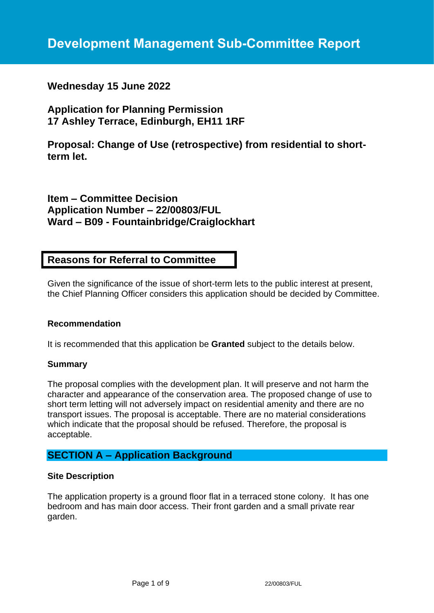## **Wednesday 15 June 2022**

# **Application for Planning Permission 17 Ashley Terrace, Edinburgh, EH11 1RF**

**Proposal: Change of Use (retrospective) from residential to shortterm let.**

# **Item – Committee Decision Application Number – 22/00803/FUL Ward – B09 - Fountainbridge/Craiglockhart**

## **Reasons for Referral to Committee**

Given the significance of the issue of short-term lets to the public interest at present, the Chief Planning Officer considers this application should be decided by Committee.

### **Recommendation**

It is recommended that this application be **Granted** subject to the details below.

#### **Summary**

The proposal complies with the development plan. It will preserve and not harm the character and appearance of the conservation area. The proposed change of use to short term letting will not adversely impact on residential amenity and there are no transport issues. The proposal is acceptable. There are no material considerations which indicate that the proposal should be refused. Therefore, the proposal is acceptable.

## **SECTION A – Application Background**

### **Site Description**

The application property is a ground floor flat in a terraced stone colony. It has one bedroom and has main door access. Their front garden and a small private rear garden.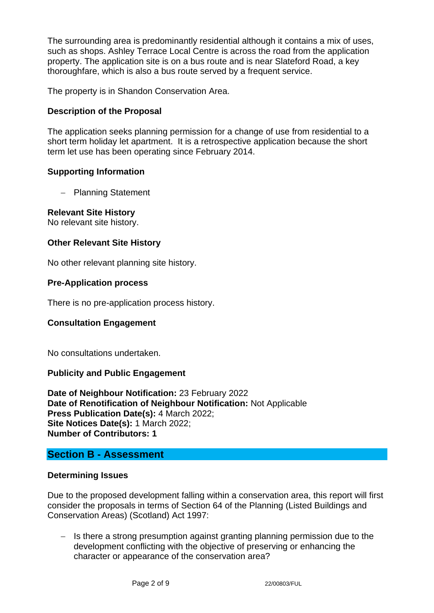The surrounding area is predominantly residential although it contains a mix of uses, such as shops. Ashley Terrace Local Centre is across the road from the application property. The application site is on a bus route and is near Slateford Road, a key thoroughfare, which is also a bus route served by a frequent service.

The property is in Shandon Conservation Area.

## **Description of the Proposal**

The application seeks planning permission for a change of use from residential to a short term holiday let apartment. It is a retrospective application because the short term let use has been operating since February 2014.

### **Supporting Information**

− Planning Statement

### **Relevant Site History**

No relevant site history.

### **Other Relevant Site History**

No other relevant planning site history.

### **Pre-Application process**

There is no pre-application process history.

### **Consultation Engagement**

No consultations undertaken.

### **Publicity and Public Engagement**

**Date of Neighbour Notification:** 23 February 2022 **Date of Renotification of Neighbour Notification:** Not Applicable **Press Publication Date(s):** 4 March 2022; **Site Notices Date(s):** 1 March 2022; **Number of Contributors: 1**

## **Section B - Assessment**

### **Determining Issues**

Due to the proposed development falling within a conservation area, this report will first consider the proposals in terms of Section 64 of the Planning (Listed Buildings and Conservation Areas) (Scotland) Act 1997:

− Is there a strong presumption against granting planning permission due to the development conflicting with the objective of preserving or enhancing the character or appearance of the conservation area?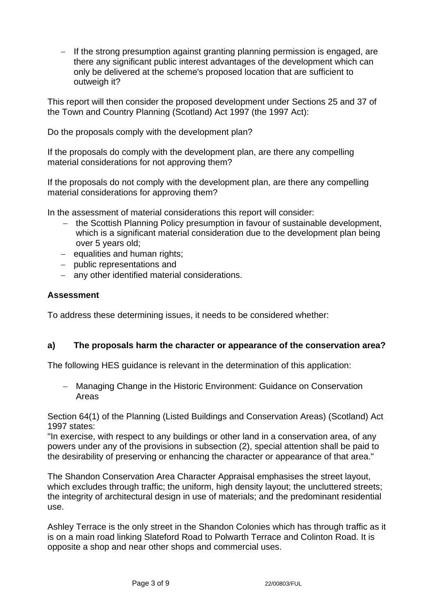− If the strong presumption against granting planning permission is engaged, are there any significant public interest advantages of the development which can only be delivered at the scheme's proposed location that are sufficient to outweigh it?

This report will then consider the proposed development under Sections 25 and 37 of the Town and Country Planning (Scotland) Act 1997 (the 1997 Act):

Do the proposals comply with the development plan?

If the proposals do comply with the development plan, are there any compelling material considerations for not approving them?

If the proposals do not comply with the development plan, are there any compelling material considerations for approving them?

In the assessment of material considerations this report will consider:

- − the Scottish Planning Policy presumption in favour of sustainable development, which is a significant material consideration due to the development plan being over 5 years old;
- − equalities and human rights;
- − public representations and
- − any other identified material considerations.

### **Assessment**

To address these determining issues, it needs to be considered whether:

### **a) The proposals harm the character or appearance of the conservation area?**

The following HES guidance is relevant in the determination of this application:

− Managing Change in the Historic Environment: Guidance on Conservation Areas

Section 64(1) of the Planning (Listed Buildings and Conservation Areas) (Scotland) Act 1997 states:

"In exercise, with respect to any buildings or other land in a conservation area, of any powers under any of the provisions in subsection (2), special attention shall be paid to the desirability of preserving or enhancing the character or appearance of that area."

The Shandon Conservation Area Character Appraisal emphasises the street layout, which excludes through traffic; the uniform, high density layout; the uncluttered streets; the integrity of architectural design in use of materials; and the predominant residential use.

Ashley Terrace is the only street in the Shandon Colonies which has through traffic as it is on a main road linking Slateford Road to Polwarth Terrace and Colinton Road. It is opposite a shop and near other shops and commercial uses.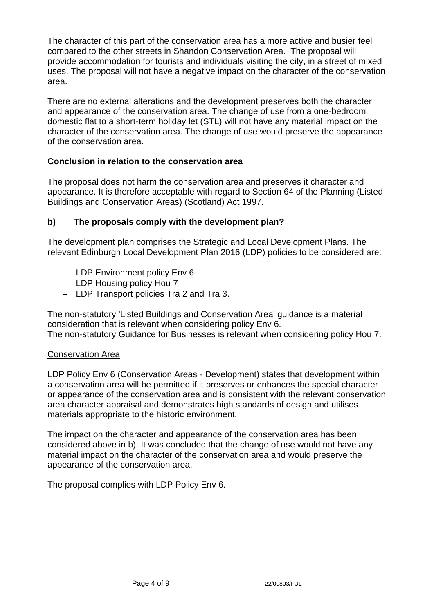The character of this part of the conservation area has a more active and busier feel compared to the other streets in Shandon Conservation Area. The proposal will provide accommodation for tourists and individuals visiting the city, in a street of mixed uses. The proposal will not have a negative impact on the character of the conservation area.

There are no external alterations and the development preserves both the character and appearance of the conservation area. The change of use from a one-bedroom domestic flat to a short-term holiday let (STL) will not have any material impact on the character of the conservation area. The change of use would preserve the appearance of the conservation area.

## **Conclusion in relation to the conservation area**

The proposal does not harm the conservation area and preserves it character and appearance. It is therefore acceptable with regard to Section 64 of the Planning (Listed Buildings and Conservation Areas) (Scotland) Act 1997.

## **b) The proposals comply with the development plan?**

The development plan comprises the Strategic and Local Development Plans. The relevant Edinburgh Local Development Plan 2016 (LDP) policies to be considered are:

- − LDP Environment policy Env 6
- − LDP Housing policy Hou 7
- − LDP Transport policies Tra 2 and Tra 3.

The non-statutory 'Listed Buildings and Conservation Area' guidance is a material consideration that is relevant when considering policy Env 6. The non-statutory Guidance for Businesses is relevant when considering policy Hou 7.

## Conservation Area

LDP Policy Env 6 (Conservation Areas - Development) states that development within a conservation area will be permitted if it preserves or enhances the special character or appearance of the conservation area and is consistent with the relevant conservation area character appraisal and demonstrates high standards of design and utilises materials appropriate to the historic environment.

The impact on the character and appearance of the conservation area has been considered above in b). It was concluded that the change of use would not have any material impact on the character of the conservation area and would preserve the appearance of the conservation area.

The proposal complies with LDP Policy Env 6.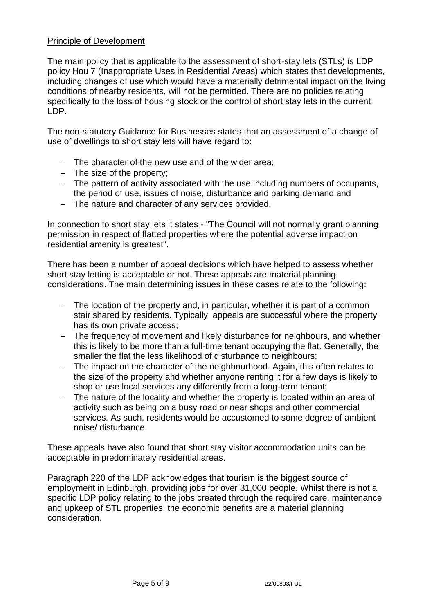### Principle of Development

The main policy that is applicable to the assessment of short-stay lets (STLs) is LDP policy Hou 7 (Inappropriate Uses in Residential Areas) which states that developments, including changes of use which would have a materially detrimental impact on the living conditions of nearby residents, will not be permitted. There are no policies relating specifically to the loss of housing stock or the control of short stay lets in the current LDP.

The non-statutory Guidance for Businesses states that an assessment of a change of use of dwellings to short stay lets will have regard to:

- − The character of the new use and of the wider area;
- − The size of the property;
- − The pattern of activity associated with the use including numbers of occupants, the period of use, issues of noise, disturbance and parking demand and
- − The nature and character of any services provided.

In connection to short stay lets it states - "The Council will not normally grant planning permission in respect of flatted properties where the potential adverse impact on residential amenity is greatest".

There has been a number of appeal decisions which have helped to assess whether short stay letting is acceptable or not. These appeals are material planning considerations. The main determining issues in these cases relate to the following:

- − The location of the property and, in particular, whether it is part of a common stair shared by residents. Typically, appeals are successful where the property has its own private access;
- − The frequency of movement and likely disturbance for neighbours, and whether this is likely to be more than a full-time tenant occupying the flat. Generally, the smaller the flat the less likelihood of disturbance to neighbours;
- The impact on the character of the neighbourhood. Again, this often relates to the size of the property and whether anyone renting it for a few days is likely to shop or use local services any differently from a long-term tenant;
- − The nature of the locality and whether the property is located within an area of activity such as being on a busy road or near shops and other commercial services. As such, residents would be accustomed to some degree of ambient noise/ disturbance.

These appeals have also found that short stay visitor accommodation units can be acceptable in predominately residential areas.

Paragraph 220 of the LDP acknowledges that tourism is the biggest source of employment in Edinburgh, providing jobs for over 31,000 people. Whilst there is not a specific LDP policy relating to the jobs created through the required care, maintenance and upkeep of STL properties, the economic benefits are a material planning consideration.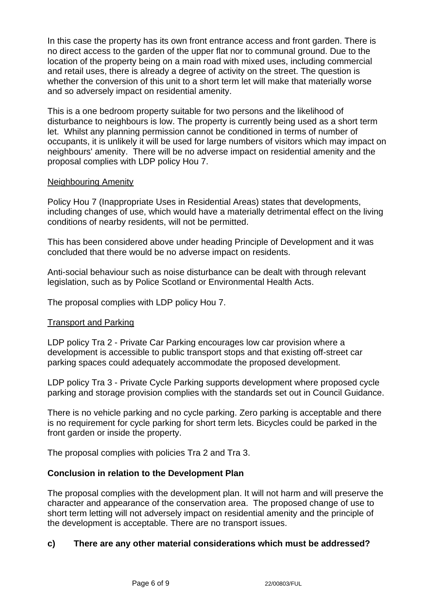In this case the property has its own front entrance access and front garden. There is no direct access to the garden of the upper flat nor to communal ground. Due to the location of the property being on a main road with mixed uses, including commercial and retail uses, there is already a degree of activity on the street. The question is whether the conversion of this unit to a short term let will make that materially worse and so adversely impact on residential amenity.

This is a one bedroom property suitable for two persons and the likelihood of disturbance to neighbours is low. The property is currently being used as a short term let. Whilst any planning permission cannot be conditioned in terms of number of occupants, it is unlikely it will be used for large numbers of visitors which may impact on neighbours' amenity. There will be no adverse impact on residential amenity and the proposal complies with LDP policy Hou 7.

### Neighbouring Amenity

Policy Hou 7 (Inappropriate Uses in Residential Areas) states that developments, including changes of use, which would have a materially detrimental effect on the living conditions of nearby residents, will not be permitted.

This has been considered above under heading Principle of Development and it was concluded that there would be no adverse impact on residents.

Anti-social behaviour such as noise disturbance can be dealt with through relevant legislation, such as by Police Scotland or Environmental Health Acts.

The proposal complies with LDP policy Hou 7.

### Transport and Parking

LDP policy Tra 2 - Private Car Parking encourages low car provision where a development is accessible to public transport stops and that existing off-street car parking spaces could adequately accommodate the proposed development.

LDP policy Tra 3 - Private Cycle Parking supports development where proposed cycle parking and storage provision complies with the standards set out in Council Guidance.

There is no vehicle parking and no cycle parking. Zero parking is acceptable and there is no requirement for cycle parking for short term lets. Bicycles could be parked in the front garden or inside the property.

The proposal complies with policies Tra 2 and Tra 3.

### **Conclusion in relation to the Development Plan**

The proposal complies with the development plan. It will not harm and will preserve the character and appearance of the conservation area. The proposed change of use to short term letting will not adversely impact on residential amenity and the principle of the development is acceptable. There are no transport issues.

### **c) There are any other material considerations which must be addressed?**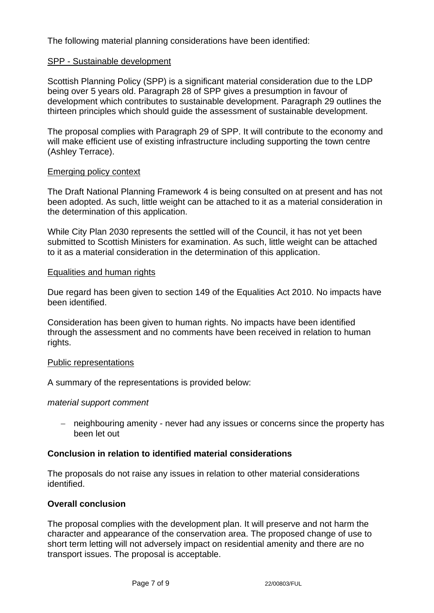The following material planning considerations have been identified:

### SPP - Sustainable development

Scottish Planning Policy (SPP) is a significant material consideration due to the LDP being over 5 years old. Paragraph 28 of SPP gives a presumption in favour of development which contributes to sustainable development. Paragraph 29 outlines the thirteen principles which should guide the assessment of sustainable development.

The proposal complies with Paragraph 29 of SPP. It will contribute to the economy and will make efficient use of existing infrastructure including supporting the town centre (Ashley Terrace).

#### Emerging policy context

The Draft National Planning Framework 4 is being consulted on at present and has not been adopted. As such, little weight can be attached to it as a material consideration in the determination of this application.

While City Plan 2030 represents the settled will of the Council, it has not yet been submitted to Scottish Ministers for examination. As such, little weight can be attached to it as a material consideration in the determination of this application.

#### Equalities and human rights

Due regard has been given to section 149 of the Equalities Act 2010. No impacts have been identified.

Consideration has been given to human rights. No impacts have been identified through the assessment and no comments have been received in relation to human rights.

#### Public representations

A summary of the representations is provided below:

#### *material support comment*

− neighbouring amenity - never had any issues or concerns since the property has been let out

### **Conclusion in relation to identified material considerations**

The proposals do not raise any issues in relation to other material considerations identified.

### **Overall conclusion**

The proposal complies with the development plan. It will preserve and not harm the character and appearance of the conservation area. The proposed change of use to short term letting will not adversely impact on residential amenity and there are no transport issues. The proposal is acceptable.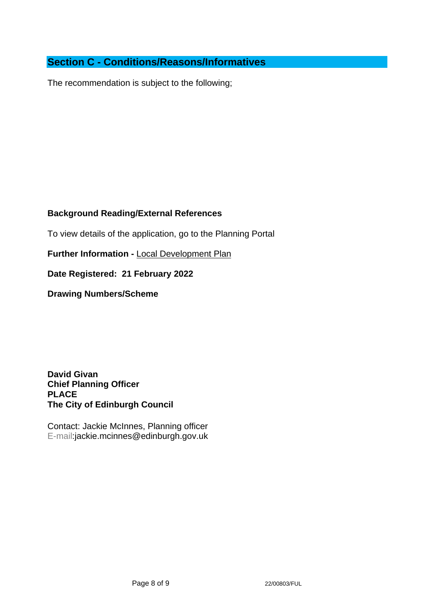# **Section C - Conditions/Reasons/Informatives**

The recommendation is subject to the following;

### **Background Reading/External References**

To view details of the application, go to the Planning Portal

**Further Information -** [Local Development Plan](https://www.edinburgh.gov.uk/local-development-plan-guidance-1/edinburgh-local-development-plan/1)

**Date Registered: 21 February 2022**

**Drawing Numbers/Scheme**

**David Givan Chief Planning Officer PLACE The City of Edinburgh Council**

Contact: Jackie McInnes, Planning officer E-mail:jackie.mcinnes@edinburgh.gov.uk